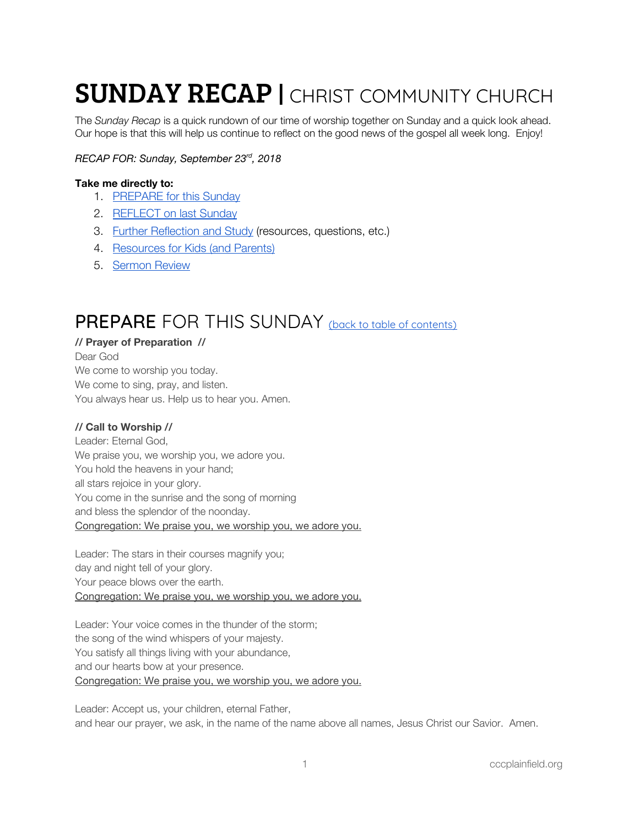# **SUNDAY RECAP | CHRIST COMMUNITY CHURCH**

The *Sunday Recap* is a quick rundown of our time of worship together on Sunday and a quick look ahead. Our hope is that this will help us continue to reflect on the good news of the gospel all week long. Enjoy!

#### *RECAP FOR: Sunday, September 23 rd , 2018*

#### <span id="page-0-1"></span>**Take me directly to:**

- 1. [PREPARE](#page-0-0) for this Sunday
- 2. [REFLECT](#page-2-0) on last Sunday
- 3. Further [Reflection](#page-3-0) and Study (resources, questions, etc.)
- 4. [Resources](#page-4-0) for Kids (and Parents)
- 5. [Sermon](#page-5-0) Review

## <span id="page-0-0"></span>PREPARE FOR THIS SUNDAY (back to table of [contents\)](#page-0-1)

#### **// Prayer of Preparation //** Dear God

We come to worship you today. We come to sing, pray, and listen. You always hear us. Help us to hear you. Amen.

#### **// Call to Worship //**

Leader: Eternal God, We praise you, we worship you, we adore you. You hold the heavens in your hand; all stars rejoice in your glory. You come in the sunrise and the song of morning and bless the splendor of the noonday. Congregation: We praise you, we worship you, we adore you.

Leader: The stars in their courses magnify you; day and night tell of your glory. Your peace blows over the earth. Congregation: We praise you, we worship you, we adore you.

Leader: Your voice comes in the thunder of the storm; the song of the wind whispers of your majesty. You satisfy all things living with your abundance, and our hearts bow at your presence. Congregation: We praise you, we worship you, we adore you.

Leader: Accept us, your children, eternal Father, and hear our prayer, we ask, in the name of the name above all names, Jesus Christ our Savior. Amen.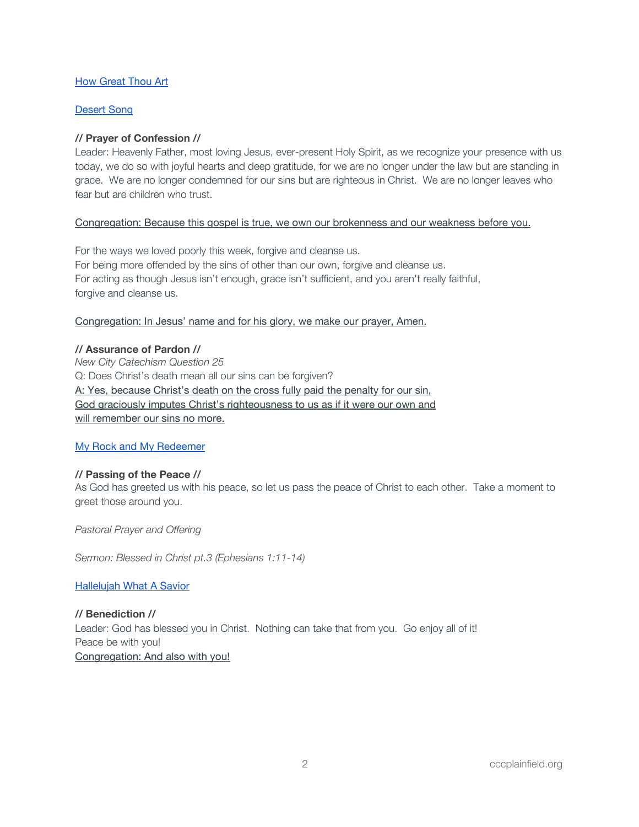#### How [Great](https://open.spotify.com/track/1SnZi2eVU2kcXRNJT6ek4J?si=kKQDdGHWTsyGuudG5fM3gw) Thou Art

#### [Desert](https://open.spotify.com/track/47ayLGE4g5YsyGgmrZzJ1f?si=92e2pEKMRCa9C8sywNgy9Q) Song

#### **// Prayer of Confession //**

Leader: Heavenly Father, most loving Jesus, ever-present Holy Spirit, as we recognize your presence with us today, we do so with joyful hearts and deep gratitude, for we are no longer under the law but are standing in grace. We are no longer condemned for our sins but are righteous in Christ. We are no longer leaves who fear but are children who trust.

#### Congregation: Because this gospel is true, we own our brokenness and our weakness before you.

For the ways we loved poorly this week, forgive and cleanse us. For being more offended by the sins of other than our own, forgive and cleanse us. For acting as though Jesus isn't enough, grace isn't sufficient, and you aren't really faithful, forgive and cleanse us.

#### Congregation: In Jesus' name and for his glory, we make our prayer, Amen.

#### **// Assurance of Pardon //**

*New City Catechism Question 25* Q: Does Christ's death mean all our sins can be forgiven? A: Yes, because Christ's death on the cross fully paid the penalty for our sin, God graciously imputes Christ's righteousness to us as if it were our own and will remember our sins no more.

#### My Rock and My [Redeemer](https://open.spotify.com/track/1UCAZBeANdxSQ6AZARlt0w?si=FGMLazOUSrmOflND8sltOg)

#### **// Passing of the Peace //**

As God has greeted us with his peace, so let us pass the peace of Christ to each other. Take a moment to greet those around you.

*Pastoral Prayer and Offering*

*Sermon: Blessed in Christ pt.3 (Ephesians 1:11-14)*

#### [Hallelujah](https://open.spotify.com/track/2ML2gqL8WYP70utD7JuO8i?si=bM5C3K8lQcOyjb7HZCo-rQ) What A Savior

**// Benediction //** Leader: God has blessed you in Christ. Nothing can take that from you. Go enjoy all of it! Peace be with you! Congregation: And also with you!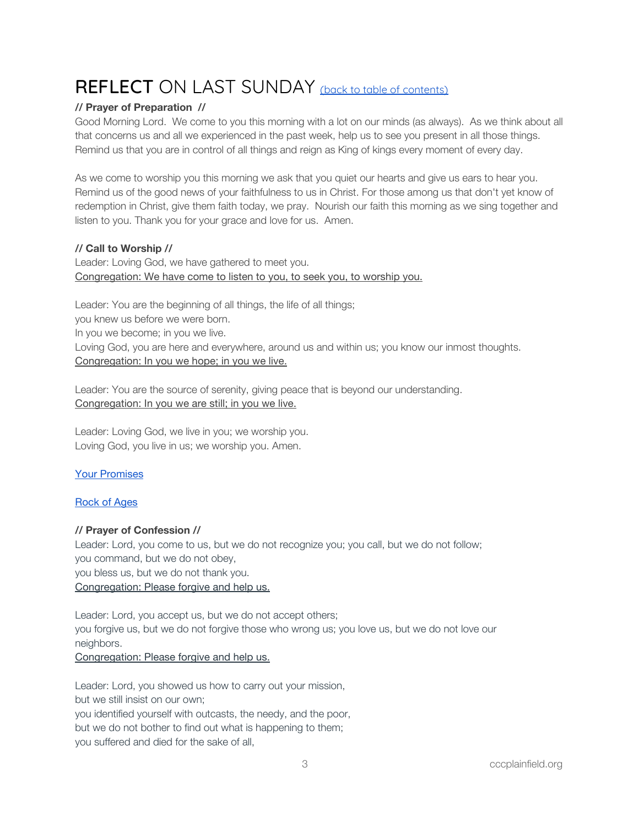# <span id="page-2-0"></span>REFLECT ON LAST SUNDAY (back to table of [contents\)](#page-0-1)

#### **// Prayer of Preparation //**

Good Morning Lord. We come to you this morning with a lot on our minds (as always). As we think about all that concerns us and all we experienced in the past week, help us to see you present in all those things. Remind us that you are in control of all things and reign as King of kings every moment of every day.

As we come to worship you this morning we ask that you quiet our hearts and give us ears to hear you. Remind us of the good news of your faithfulness to us in Christ. For those among us that don't yet know of redemption in Christ, give them faith today, we pray. Nourish our faith this morning as we sing together and listen to you. Thank you for your grace and love for us. Amen.

#### **// Call to Worship //**

Leader: Loving God, we have gathered to meet you. Congregation: We have come to listen to you, to seek you, to worship you.

Leader: You are the beginning of all things, the life of all things; you knew us before we were born. In you we become; in you we live. Loving God, you are here and everywhere, around us and within us; you know our inmost thoughts. Congregation: In you we hope; in you we live.

Leader: You are the source of serenity, giving peace that is beyond our understanding. Congregation: In you we are still; in you we live.

Leader: Loving God, we live in you; we worship you. Loving God, you live in us; we worship you. Amen.

#### Your [Promises](https://open.spotify.com/track/7toBMKUFYgMqSoG1OnG2Bs?si=9jxUZnrERsuws_2nmRpfyg)

#### [Rock](https://open.spotify.com/track/7t09AFanjOnuDlBVuX4OoS?si=-wO99H8iR_-Sy7O6iaZMtA) of Ages

#### **// Prayer of Confession //**

Leader: Lord, you come to us, but we do not recognize you; you call, but we do not follow; you command, but we do not obey,

you bless us, but we do not thank you.

#### Congregation: Please forgive and help us.

Leader: Lord, you accept us, but we do not accept others; you forgive us, but we do not forgive those who wrong us; you love us, but we do not love our neighbors.

#### Congregation: Please forgive and help us.

Leader: Lord, you showed us how to carry out your mission, but we still insist on our own; you identified yourself with outcasts, the needy, and the poor, but we do not bother to find out what is happening to them; you suffered and died for the sake of all,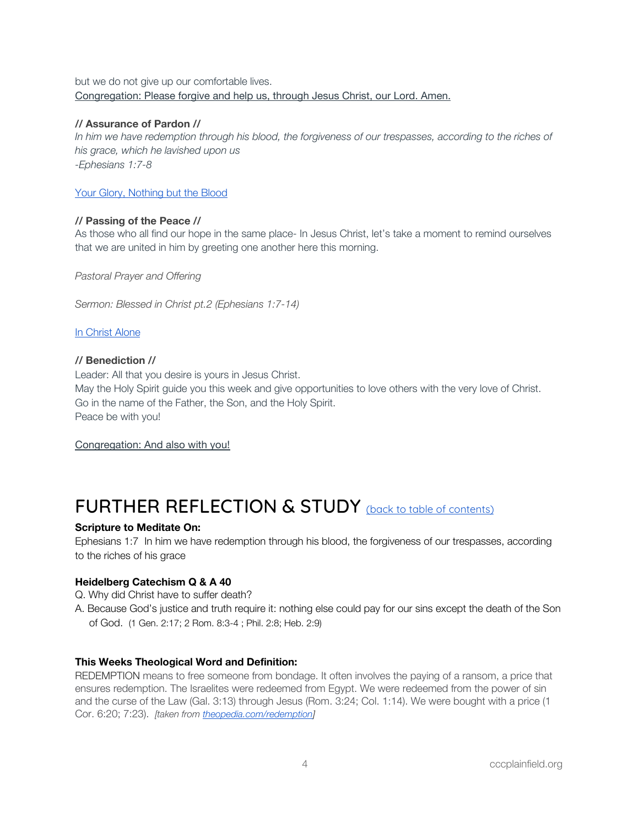#### but we do not give up our comfortable lives. Congregation: Please forgive and help us, through Jesus Christ, our Lord. Amen.

#### **// Assurance of Pardon //**

In him we have redemption through his blood, the forgiveness of our trespasses, according to the riches of *his grace, which he lavished upon us -Ephesians 1:7-8*

#### Your Glory, [Nothing](https://open.spotify.com/track/5UgGtoBzu4mmslDkcbLduT?si=6tI0BxAqTECiZTreye4Sxg) but the Blood

#### **// Passing of the Peace //**

As those who all find our hope in the same place- In Jesus Christ, let's take a moment to remind ourselves that we are united in him by greeting one another here this morning.

*Pastoral Prayer and Offering*

*Sermon: Blessed in Christ pt.2 (Ephesians 1:7-14)*

In [Christ](https://open.spotify.com/track/1g5b5gNTAh3dsSWZILzczm?si=gN3j_ZfWSe6hzT-BdW2zcg) Alone

#### **// Benediction //**

Leader: All that you desire is yours in Jesus Christ. May the Holy Spirit guide you this week and give opportunities to love others with the very love of Christ. Go in the name of the Father, the Son, and the Holy Spirit. Peace be with you!

Congregation: And also with you!

### <span id="page-3-0"></span>FURTHER REFLECTION & STUDY (back to table of [contents\)](#page-0-1)

#### **Scripture to Meditate On:**

Ephesians 1:7 In him we have redemption through his blood, the forgiveness of our trespasses, according to the riches of his grace

#### **Heidelberg Catechism Q & A 40**

- Q. Why did Christ have to suffer death?
- A. Because God's justice and truth require it: nothing else could pay for our sins except the death of the Son of God. (1 Gen. 2:17; 2 Rom. 8:3-4 ; Phil. 2:8; Heb. 2:9)

#### **This Weeks Theological Word and Definition:**

REDEMPTION means to free someone from bondage. It often involves the paying of a ransom, a price that ensures redemption. The Israelites were redeemed from Egypt. We were redeemed from the power of sin and the curse of the Law (Gal. 3:13) through Jesus (Rom. 3:24; Col. 1:14). We were bought with a price (1 Cor. 6:20; 7:23). *[taken from [theopedia.com/redemption\]](https://www.theopedia.com/redemption)*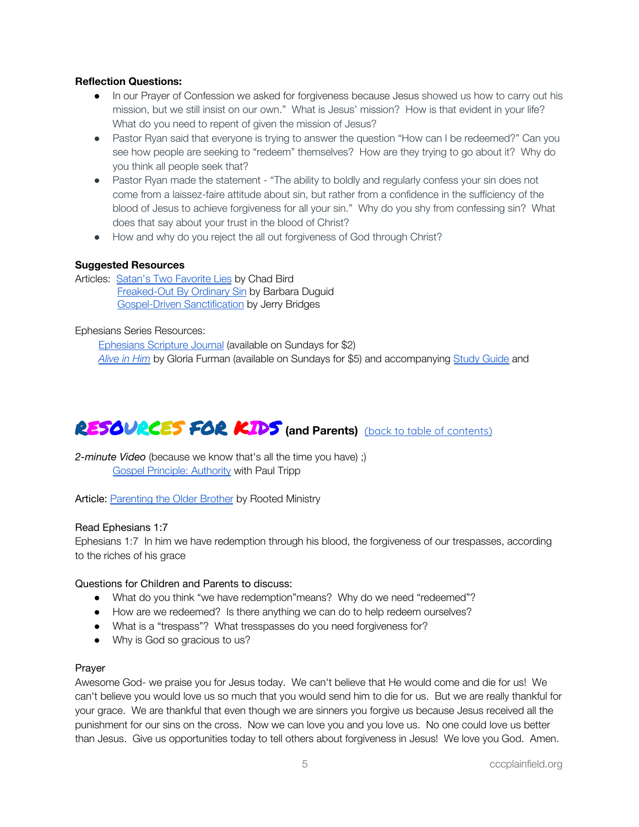#### **Reflection Questions:**

- In our Prayer of Confession we asked for forgiveness because Jesus showed us how to carry out his mission, but we still insist on our own." What is Jesus' mission? How is that evident in your life? What do you need to repent of given the mission of Jesus?
- Pastor Ryan said that everyone is trying to answer the question "How can I be redeemed?" Can you see how people are seeking to "redeem" themselves? How are they trying to go about it? Why do you think all people seek that?
- Pastor Ryan made the statement "The ability to boldly and regularly confess your sin does not come from a laissez-faire attitude about sin, but rather from a confidence in the sufficiency of the blood of Jesus to achieve forgiveness for all your sin." Why do you shy from confessing sin? What does that say about your trust in the blood of Christ?
- How and why do you reject the all out forgiveness of God through Christ?

#### **Suggested Resources**

Articles: Satan's Two [Favorite](https://www.christholdfast.org/blog/satans-two-favorite-lies) Lies by Chad Bird [Freaked-Out](https://www.challies.com/sponsored/freaked-out-by-ordinary-sin/) By Ordinary Sin by Barbara Duguid [Gospel-Driven](https://www.monergism.com/gospel-driven-sanctification) Sanctification by Jerry Bridges

#### Ephesians Series Resources:

[Ephesians](https://www.crossway.org/bibles/esv-scripture-journal-ephesians-tpb/) Scripture Journal (available on Sundays for \$2) *[Alive](https://www.crossway.org/books/alive-in-him-tpb/) in Him* by Gloria Furman (available on Sundays for \$5) and accompanying Study [Guide](https://static.crossway.org/excerpt/alive-in-him-study-guide.pdf) and

# <span id="page-4-0"></span>RESOURCES FOR KIDS **(and Parents)** (back to table of [contents\)](#page-0-1)

*2-minute Video* (because we know that's all the time you have) ;) **Gospel [Principle:](https://www.paultripp.com/video#!/swx/pp/media_archives/170524/episode/64989) Authority with Paul Tripp** 

Article: [Parenting](https://www.rootedministry.com/blog/parenting-the-older-brother/) the Older Brother by Rooted Ministry

#### Read Ephesians 1:7

Ephesians 1:7 In him we have redemption through his blood, the forgiveness of our trespasses, according to the riches of his grace

#### Questions for Children and Parents to discuss:

- What do you think "we have redemption"means? Why do we need "redeemed"?
- How are we redeemed? Is there anything we can do to help redeem ourselves?
- What is a "trespass"? What tresspasses do you need forgiveness for?
- Why is God so gracious to us?

#### Prayer

Awesome God- we praise you for Jesus today. We can't believe that He would come and die for us! We can't believe you would love us so much that you would send him to die for us. But we are really thankful for your grace. We are thankful that even though we are sinners you forgive us because Jesus received all the punishment for our sins on the cross. Now we can love you and you love us. No one could love us better than Jesus. Give us opportunities today to tell others about forgiveness in Jesus! We love you God. Amen.